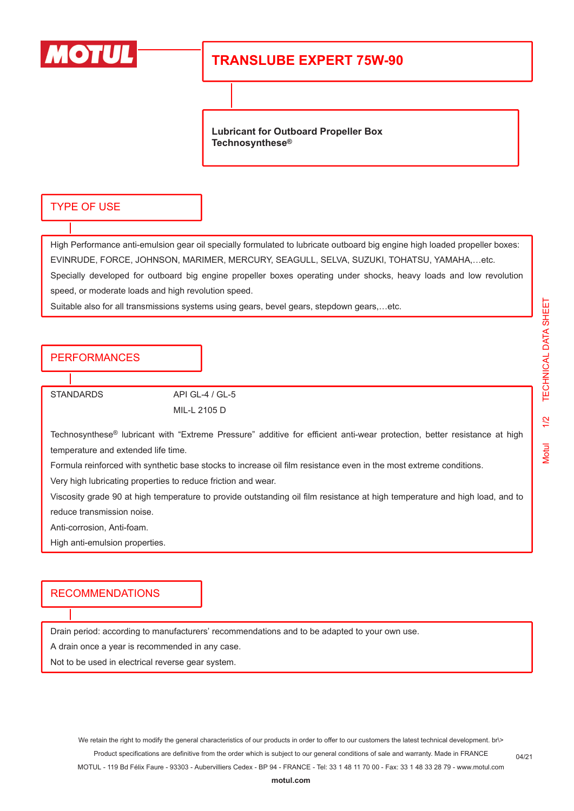

# **TRANSLUBE EXPERT 75W-90**

**Lubricant for Outboard Propeller Box Technosynthese®**

#### TYPE OF USE

High Performance anti-emulsion gear oil specially formulated to lubricate outboard big engine high loaded propeller boxes: EVINRUDE, FORCE, JOHNSON, MARIMER, MERCURY, SEAGULL, SELVA, SUZUKI, TOHATSU, YAMAHA,…etc. Specially developed for outboard big engine propeller boxes operating under shocks, heavy loads and low revolution speed, or moderate loads and high revolution speed.

Suitable also for all transmissions systems using gears, bevel gears, stepdown gears,…etc.

### PERFORMANCES

STANDARDS API GL-4 / GL-5 MIL-L 2105 D

Technosynthese® lubricant with "Extreme Pressure" additive for efficient anti-wear protection, better resistance at high temperature and extended life time.

Formula reinforced with synthetic base stocks to increase oil film resistance even in the most extreme conditions.

Very high lubricating properties to reduce friction and wear.

Viscosity grade 90 at high temperature to provide outstanding oil film resistance at high temperature and high load, and to reduce transmission noise.

Anti-corrosion, Anti-foam.

High anti-emulsion properties.

#### RECOMMENDATIONS

Drain period: according to manufacturers' recommendations and to be adapted to your own use.

A drain once a year is recommended in any case.

Not to be used in electrical reverse gear system.

04/21